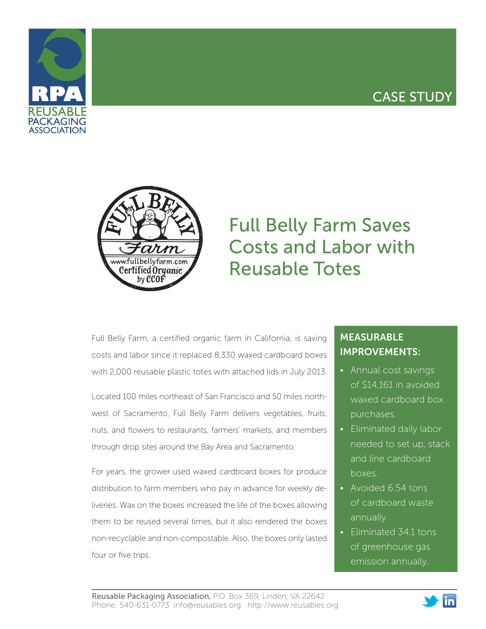## CASE STUDY





# Full Belly Farm Saves Costs and Labor with Reusable Totes

Full Belly Farm, a certified organic farm in California, is saving costs and labor since it replaced 8,330 waxed cardboard boxes with 2,000 reusable plastic totes with attached lids in July 2013.

Located 100 miles northeast of San Francisco and 50 miles northwest of Sacramento, Full Belly Farm delivers vegetables, fruits, nuts, and flowers to restaurants, farmers' markets, and members through drop sites around the Bay Area and Sacramento.

For years, the grower used waxed cardboard boxes for produce distribution to farm members who pay in advance for weekly deliveries. Wax on the boxes increased the life of the boxes allowing them to be reused several times, but it also rendered the boxes non-recyclable and non-compostable. Also, the boxes only lasted four or five trips.

### MEASURABLE IMPROVEMENTS:

- Annual cost savings of \$14,161 in avoided waxed cardboard box purchases.
- Eliminated daily labor needed to set up, stack and line cardboard boxes.
- Avoided 6.54 tons of cardboard waste annually.
- Eliminated 34.1 tons of greenhouse gas emission annually.

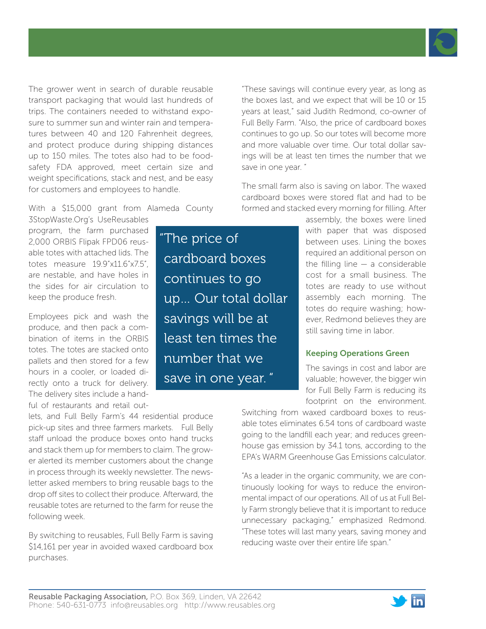

The grower went in search of durable reusable transport packaging that would last hundreds of trips. The containers needed to withstand exposure to summer sun and winter rain and temperatures between 40 and 120 Fahrenheit degrees, and protect produce during shipping distances up to 150 miles. The totes also had to be foodsafety FDA approved, meet certain size and weight specifications, stack and nest, and be easy for customers and employees to handle.

"These savings will continue every year, as long as the boxes last, and we expect that will be 10 or 15 years at least," said Judith Redmond, co-owner of Full Belly Farm. "Also, the price of cardboard boxes continues to go up. So our totes will become more and more valuable over time. Our total dollar savings will be at least ten times the number that we save in one year. "

The small farm also is saving on labor. The waxed cardboard boxes were stored flat and had to be formed and stacked every morning for filling. After

With a \$15,000 grant from Alameda County 3StopWaste.Org's UseReusables

program, the farm purchased 2,000 ORBIS Flipak FPD06 reusable totes with attached lids. The totes measure 19.9"x11.6"x7.5", are nestable, and have holes in the sides for air circulation to keep the produce fresh.

Employees pick and wash the produce, and then pack a combination of items in the ORBIS totes. The totes are stacked onto pallets and then stored for a few hours in a cooler, or loaded directly onto a truck for delivery. The delivery sites include a handful of restaurants and retail out-

lets, and Full Belly Farm's 44 residential produce pick-up sites and three farmers markets. Full Belly staff unload the produce boxes onto hand trucks and stack them up for members to claim. The grower alerted its member customers about the change in process through its weekly newsletter. The newsletter asked members to bring reusable bags to the drop off sites to collect their produce. Afterward, the reusable totes are returned to the farm for reuse the following week.

By switching to reusables, Full Belly Farm is saving \$14,161 per year in avoided waxed cardboard box purchases.

"The price of cardboard boxes continues to go up… Our total dollar savings will be at least ten times the number that we save in one year. "

assembly, the boxes were lined with paper that was disposed between uses. Lining the boxes required an additional person on the filling line  $-$  a considerable cost for a small business. The totes are ready to use without assembly each morning. The totes do require washing; however, Redmond believes they are still saving time in labor.

#### Keeping Operations Green

The savings in cost and labor are valuable; however, the bigger win for Full Belly Farm is reducing its footprint on the environment.

Switching from waxed cardboard boxes to reusable totes eliminates 6.54 tons of cardboard waste going to the landfill each year; and reduces greenhouse gas emission by 34.1 tons, according to the EPA's WARM Greenhouse Gas Emissions calculator.

"As a leader in the organic community, we are continuously looking for ways to reduce the environmental impact of our operations. All of us at Full Belly Farm strongly believe that it is important to reduce unnecessary packaging," emphasized Redmond. "These totes will last many years, saving money and reducing waste over their entire life span."